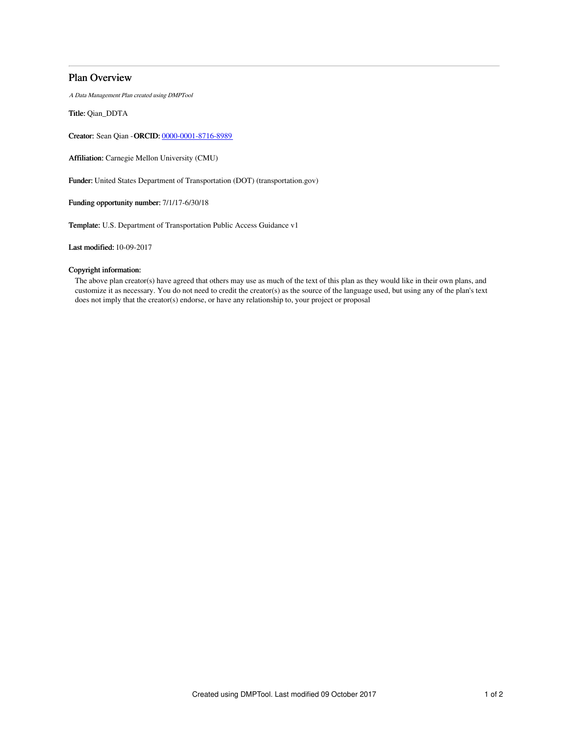## Plan Overview

A Data Management Plan created using DMPTool

Title: Qian\_DDTA

Creator: Sean Qian -ORCID: [0000-0001-8716-8989](https://orcid.org/0000-0001-8716-8989)

Affiliation: Carnegie Mellon University (CMU)

Funder: United States Department of Transportation (DOT) (transportation.gov)

Funding opportunity number: 7/1/17-6/30/18

Template: U.S. Department of Transportation Public Access Guidance v1

Last modified: 10-09-2017

## Copyright information:

The above plan creator(s) have agreed that others may use as much of the text of this plan as they would like in their own plans, and customize it as necessary. You do not need to credit the creator(s) as the source of the language used, but using any of the plan's text does not imply that the creator(s) endorse, or have any relationship to, your project or proposal